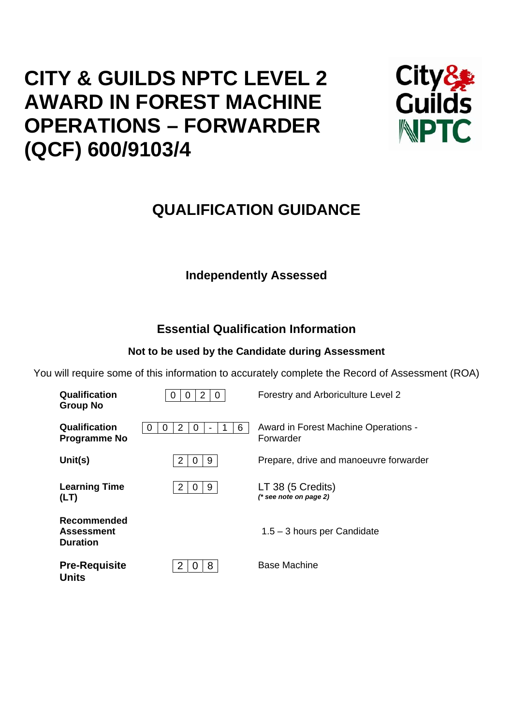# **CITY & GUILDS NPTC LEVEL 2 AWARD IN FOREST MACHINE OPERATIONS – FORWARDER (QCF) 600/9103/4**



## **QUALIFICATION GUIDANCE**

## **Independently Assessed**

## **Essential Qualification Information**

## **Not to be used by the Candidate during Assessment**

You will require some of this information to accurately complete the Record of Assessment (ROA)

| Qualification<br><b>Group No</b>                    | 2<br>-0               | Forestry and Arboriculture Level 2                |
|-----------------------------------------------------|-----------------------|---------------------------------------------------|
| Qualification<br><b>Programme No</b>                | 2<br>6<br>0<br>0<br>O | Award in Forest Machine Operations -<br>Forwarder |
| Unit(s)                                             | 2<br>9<br>Ü           | Prepare, drive and manoeuvre forwarder            |
| <b>Learning Time</b><br>(LT)                        | 2<br>9<br>0           | LT 38 (5 Credits)<br>$(*$ see note on page 2)     |
| Recommended<br><b>Assessment</b><br><b>Duration</b> |                       | $1.5 - 3$ hours per Candidate                     |
| <b>Pre-Requisite</b>                                | 8<br>2                | <b>Base Machine</b>                               |

**Units**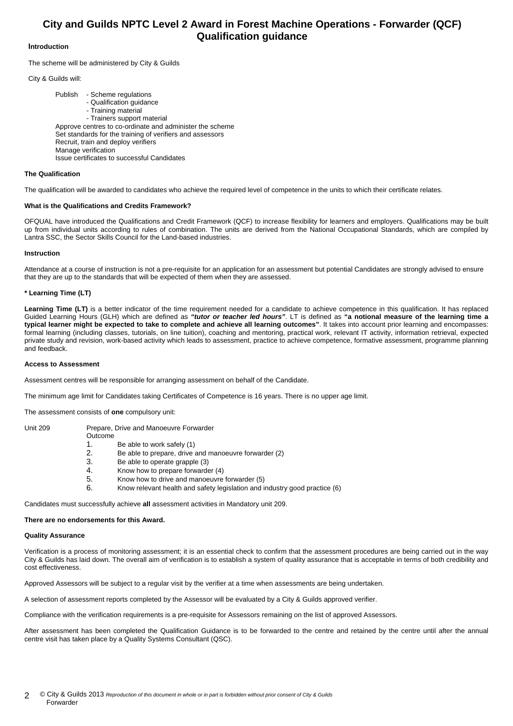### **City and Guilds NPTC Level 2 Award in Forest Machine Operations - Forwarder (QCF) Qualification guidance**

#### **Introduction**

The scheme will be administered by City & Guilds

City & Guilds will:

 Publish - Scheme regulations - Qualification guidance - Training material - Trainers support material Approve centres to co-ordinate and administer the scheme Set standards for the training of verifiers and assessors Recruit, train and deploy verifiers Manage verification Issue certificates to successful Candidates

#### **The Qualification**

The qualification will be awarded to candidates who achieve the required level of competence in the units to which their certificate relates.

#### **What is the Qualifications and Credits Framework?**

OFQUAL have introduced the Qualifications and Credit Framework (QCF) to increase flexibility for learners and employers. Qualifications may be built up from individual units according to rules of combination. The units are derived from the National Occupational Standards, which are compiled by Lantra SSC, the Sector Skills Council for the Land-based industries.

#### **Instruction**

Attendance at a course of instruction is not a pre-requisite for an application for an assessment but potential Candidates are strongly advised to ensure that they are up to the standards that will be expected of them when they are assessed.

#### **\* Learning Time (LT)**

Learning Time (LT) is a better indicator of the time requirement needed for a candidate to achieve competence in this qualification. It has replaced Guided Learning Hours (GLH) which are defined as *"tutor or teacher led hours"*. LT is defined as **"a notional measure of the learning time a typical learner might be expected to take to complete and achieve all learning outcomes"**. It takes into account prior learning and encompasses: formal learning (including classes, tutorials, on line tuition), coaching and mentoring, practical work, relevant IT activity, information retrieval, expected private study and revision, work-based activity which leads to assessment, practice to achieve competence, formative assessment, programme planning and feedback.

#### **Access to Assessment**

Assessment centres will be responsible for arranging assessment on behalf of the Candidate.

The minimum age limit for Candidates taking Certificates of Competence is 16 years. There is no upper age limit.

The assessment consists of **one** compulsory unit:

| Unit 209 |  |
|----------|--|
|----------|--|

Prepare, Drive and Manoeuvre Forwarder

- Outcome 1. Be able to work safely (1)
- 2. Be able to prepare, drive and manoeuvre forwarder (2)
- 3. Be able to operate grapple (3)
- 
- 4. Know how to prepare forwarder (4)<br>5. Know how to drive and manoeuvre 5. Know how to drive and manoeuvre forwarder (5)
- 6. Know relevant health and safety legislation and industry good practice (6)

Candidates must successfully achieve **all** assessment activities in Mandatory unit 209.

#### **There are no endorsements for this Award.**

#### **Quality Assurance**

Verification is a process of monitoring assessment; it is an essential check to confirm that the assessment procedures are being carried out in the way City & Guilds has laid down. The overall aim of verification is to establish a system of quality assurance that is acceptable in terms of both credibility and cost effectiveness.

Approved Assessors will be subject to a regular visit by the verifier at a time when assessments are being undertaken.

A selection of assessment reports completed by the Assessor will be evaluated by a City & Guilds approved verifier.

Compliance with the verification requirements is a pre-requisite for Assessors remaining on the list of approved Assessors.

After assessment has been completed the Qualification Guidance is to be forwarded to the centre and retained by the centre until after the annual centre visit has taken place by a Quality Systems Consultant (QSC).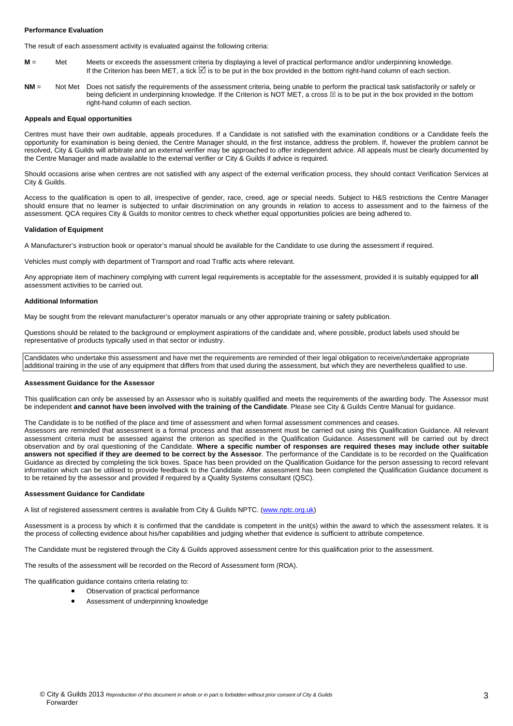#### **Performance Evaluation**

The result of each assessment activity is evaluated against the following criteria:

- **M** = Met Meets or exceeds the assessment criteria by displaying a level of practical performance and/or underpinning knowledge. If the Criterion has been MET, a tick ⊠ is to be put in the box provided in the bottom right-hand column of each section.
- **NM** = Not Met Does not satisfy the requirements of the assessment criteria, being unable to perform the practical task satisfactorily or safely or being deficient in underpinning knowledge. If the Criterion is NOT MET, a cross  $\boxtimes$  is to be put in the box provided in the bottom right-hand column of each section.

#### **Appeals and Equal opportunities**

Centres must have their own auditable, appeals procedures. If a Candidate is not satisfied with the examination conditions or a Candidate feels the opportunity for examination is being denied, the Centre Manager should, in the first instance, address the problem. If, however the problem cannot be resolved, City & Guilds will arbitrate and an external verifier may be approached to offer independent advice. All appeals must be clearly documented by the Centre Manager and made available to the external verifier or City & Guilds if advice is required.

Should occasions arise when centres are not satisfied with any aspect of the external verification process, they should contact Verification Services at City & Guilds.

Access to the qualification is open to all, irrespective of gender, race, creed, age or special needs. Subject to H&S restrictions the Centre Manager should ensure that no learner is subjected to unfair discrimination on any grounds in relation to access to assessment and to the fairness of the assessment. QCA requires City & Guilds to monitor centres to check whether equal opportunities policies are being adhered to.

#### **Validation of Equipment**

A Manufacturer's instruction book or operator's manual should be available for the Candidate to use during the assessment if required.

Vehicles must comply with department of Transport and road Traffic acts where relevant.

Any appropriate item of machinery complying with current legal requirements is acceptable for the assessment, provided it is suitably equipped for **all** assessment activities to be carried out.

#### **Additional Information**

May be sought from the relevant manufacturer's operator manuals or any other appropriate training or safety publication.

Questions should be related to the background or employment aspirations of the candidate and, where possible, product labels used should be representative of products typically used in that sector or industry.

Candidates who undertake this assessment and have met the requirements are reminded of their legal obligation to receive/undertake appropriate additional training in the use of any equipment that differs from that used during the assessment, but which they are nevertheless qualified to use.

#### **Assessment Guidance for the Assessor**

This qualification can only be assessed by an Assessor who is suitably qualified and meets the requirements of the awarding body. The Assessor must be independent **and cannot have been involved with the training of the Candidate**. Please see City & Guilds Centre Manual for guidance.

The Candidate is to be notified of the place and time of assessment and when formal assessment commences and ceases.

Assessors are reminded that assessment is a formal process and that assessment must be carried out using this Qualification Guidance. All relevant assessment criteria must be assessed against the criterion as specified in the Qualification Guidance. Assessment will be carried out by direct observation and by oral questioning of the Candidate. **Where a specific number of responses are required theses may include other suitable answers not specified if they are deemed to be correct by the Assessor**. The performance of the Candidate is to be recorded on the Qualification Guidance as directed by completing the tick boxes. Space has been provided on the Qualification Guidance for the person assessing to record relevant information which can be utilised to provide feedback to the Candidate. After assessment has been completed the Qualification Guidance document is to be retained by the assessor and provided if required by a Quality Systems consultant (QSC).

#### **Assessment Guidance for Candidate**

A list of registered assessment centres is available from City & Guilds NPTC. (www.nptc.org.uk)

Assessment is a process by which it is confirmed that the candidate is competent in the unit(s) within the award to which the assessment relates. It is the process of collecting evidence about his/her capabilities and judging whether that evidence is sufficient to attribute competence.

The Candidate must be registered through the City & Guilds approved assessment centre for this qualification prior to the assessment.

The results of the assessment will be recorded on the Record of Assessment form (ROA).

The qualification guidance contains criteria relating to:

- Observation of practical performance
- Assessment of underpinning knowledge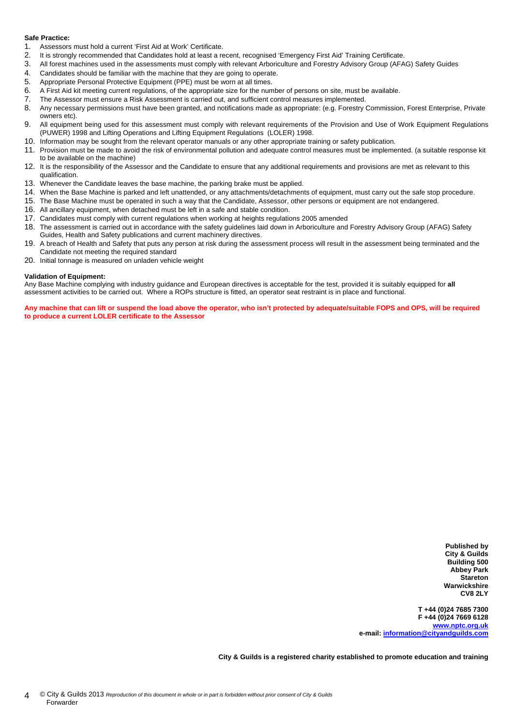#### **Safe Practice:**

- 1. Assessors must hold a current 'First Aid at Work' Certificate.
- 2. It is strongly recommended that Candidates hold at least a recent, recognised 'Emergency First Aid' Training Certificate.<br>2. All forest machines used in the assessments must comply with relevant Arboriculture and Egrest
- 3. All forest machines used in the assessments must comply with relevant Arboriculture and Forestry Advisory Group (AFAG) Safety Guides
- 4. Candidates should be familiar with the machine that they are going to operate.<br>5. Appropriate Personal Protective Equipment (PPF) must be worn at all times
- 5. Appropriate Personal Protective Equipment (PPE) must be worn at all times.
- 6. A First Aid kit meeting current regulations, of the appropriate size for the number of persons on site, must be available.
- 7. The Assessor must ensure a Risk Assessment is carried out, and sufficient control measures implemented.
- 8. Any necessary permissions must have been granted, and notifications made as appropriate: (e.g. Forestry Commission, Forest Enterprise, Private owners etc).
- 9. All equipment being used for this assessment must comply with relevant requirements of the Provision and Use of Work Equipment Regulations (PUWER) 1998 and Lifting Operations and Lifting Equipment Regulations (LOLER) 1998.
- 10. Information may be sought from the relevant operator manuals or any other appropriate training or safety publication.
- 11. Provision must be made to avoid the risk of environmental pollution and adequate control measures must be implemented. (a suitable response kit to be available on the machine)
- 12. It is the responsibility of the Assessor and the Candidate to ensure that any additional requirements and provisions are met as relevant to this qualification.
- 13. Whenever the Candidate leaves the base machine, the parking brake must be applied.
- 14. When the Base Machine is parked and left unattended, or any attachments/detachments of equipment, must carry out the safe stop procedure.
- 15. The Base Machine must be operated in such a way that the Candidate, Assessor, other persons or equipment are not endangered.
- 16. All ancillary equipment, when detached must be left in a safe and stable condition.
- 17. Candidates must comply with current regulations when working at heights regulations 2005 amended
- 18. The assessment is carried out in accordance with the safety guidelines laid down in Arboriculture and Forestry Advisory Group (AFAG) Safety Guides, Health and Safety publications and current machinery directives.
- 19. A breach of Health and Safety that puts any person at risk during the assessment process will result in the assessment being terminated and the Candidate not meeting the required standard
- 20. Initial tonnage is measured on unladen vehicle weight

#### **Validation of Equipment:**

Any Base Machine complying with industry guidance and European directives is acceptable for the test, provided it is suitably equipped for **all** assessment activities to be carried out. Where a ROPs structure is fitted, an operator seat restraint is in place and functional.

**Any machine that can lift or suspend the load above the operator, who isn't protected by adequate/suitable FOPS and OPS, will be required to produce a current LOLER certificate to the Assessor** 

> **Published by City & Guilds Building 500 Abbey Park Stareton Warwickshire CV8 2LY**

**T +44 (0)24 7685 7300 F +44 (0)24 7669 6128 www.nptc.org.uk e-mail: information@cityandguilds.com**

**City & Guilds is a registered charity established to promote education and training**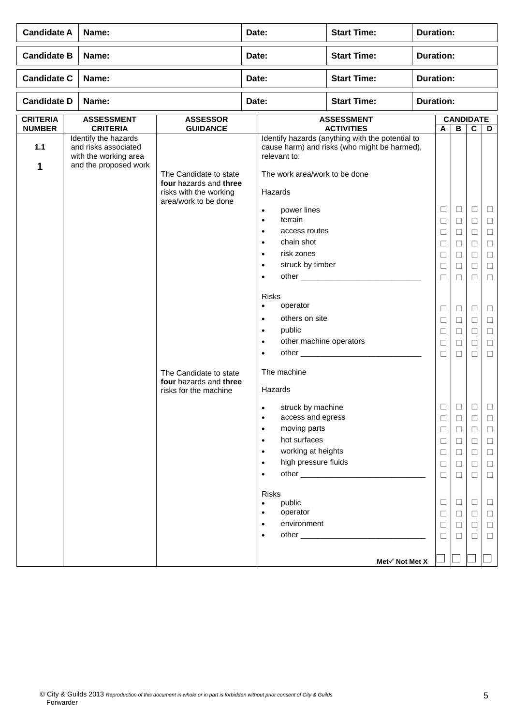|                                                                                                                                                                                                                                                                                                                                        |  | Name:                                |                                                                                                    | Date:                                                                                                                                                                                                                                                                                                                                                                                              | <b>Start Time:</b>                                                                               | <b>Duration:</b> |                                                                                             |                                                                                                                 |                                                                              |                                                                                             |
|----------------------------------------------------------------------------------------------------------------------------------------------------------------------------------------------------------------------------------------------------------------------------------------------------------------------------------------|--|--------------------------------------|----------------------------------------------------------------------------------------------------|----------------------------------------------------------------------------------------------------------------------------------------------------------------------------------------------------------------------------------------------------------------------------------------------------------------------------------------------------------------------------------------------------|--------------------------------------------------------------------------------------------------|------------------|---------------------------------------------------------------------------------------------|-----------------------------------------------------------------------------------------------------------------|------------------------------------------------------------------------------|---------------------------------------------------------------------------------------------|
|                                                                                                                                                                                                                                                                                                                                        |  | <b>Start Time:</b><br>Name:<br>Date: |                                                                                                    |                                                                                                                                                                                                                                                                                                                                                                                                    | <b>Duration:</b>                                                                                 |                  |                                                                                             |                                                                                                                 |                                                                              |                                                                                             |
| <b>Candidate A</b><br><b>Candidate B</b><br><b>Candidate C</b><br>Name:<br><b>Candidate D</b><br>Name:<br><b>CRITERIA</b><br><b>ASSESSMENT</b><br><b>ASSESSOR</b><br><b>NUMBER</b><br><b>CRITERIA</b><br><b>GUIDANCE</b><br>Identify the hazards<br>1.1<br>and risks associated<br>with the working area<br>and the proposed work<br>1 |  |                                      | Date:                                                                                              | <b>Start Time:</b>                                                                                                                                                                                                                                                                                                                                                                                 |                                                                                                  | <b>Duration:</b> |                                                                                             |                                                                                                                 |                                                                              |                                                                                             |
|                                                                                                                                                                                                                                                                                                                                        |  |                                      |                                                                                                    | Date:                                                                                                                                                                                                                                                                                                                                                                                              | <b>Start Time:</b>                                                                               | <b>Duration:</b> |                                                                                             |                                                                                                                 |                                                                              |                                                                                             |
|                                                                                                                                                                                                                                                                                                                                        |  |                                      |                                                                                                    |                                                                                                                                                                                                                                                                                                                                                                                                    | <b>ASSESSMENT</b><br><b>ACTIVITIES</b>                                                           |                  |                                                                                             | <b>CANDIDATE</b><br>$\, {\bf B}$                                                                                | C                                                                            |                                                                                             |
|                                                                                                                                                                                                                                                                                                                                        |  |                                      | The Candidate to state<br>four hazards and three<br>risks with the working<br>area/work to be done | relevant to:<br>The work area/work to be done<br>Hazards<br>power lines<br>$\bullet$<br>terrain<br>$\bullet$<br>access routes<br>$\bullet$<br>chain shot<br>$\bullet$<br>risk zones<br>$\bullet$<br>struck by timber<br>$\bullet$<br>$\bullet$<br><b>Risks</b><br>operator<br>$\bullet$<br>others on site<br>$\bullet$<br>public<br>$\bullet$<br>other machine operators<br>$\bullet$<br>$\bullet$ | Identify hazards (anything with the potential to<br>cause harm) and risks (who might be harmed), |                  | A<br>$\Box$<br>□<br>$\Box$<br>□<br>□<br>□<br>$\Box$<br>□<br>$\Box$<br>$\Box$<br>□<br>$\Box$ | $\Box$<br>$\Box$<br>$\Box$<br>$\Box$<br>$\Box$<br>$\Box$<br>$\Box$<br>$\Box$<br>$\Box$<br>$\Box$<br>$\Box$<br>□ | $\Box$<br>□<br>$\Box$<br>□<br>$\Box$<br>□<br>□<br>⊔<br>$\Box$<br>□<br>□<br>□ | D<br>Ц<br>□<br>$\Box$<br>$\Box$<br>$\Box$<br>□<br>$\Box$<br>□<br>$\Box$<br>$\Box$<br>□<br>□ |
|                                                                                                                                                                                                                                                                                                                                        |  |                                      | The Candidate to state<br>four hazards and three<br>risks for the machine                          | The machine<br>Hazards<br>struck by machine<br>access and egress<br>$\bullet$<br>moving parts<br>$\bullet$<br>hot surfaces<br>$\bullet$<br>working at heights<br>$\bullet$<br>high pressure fluids<br>$\bullet$<br>$\bullet$<br><b>Risks</b><br>public<br>$\bullet$<br>operator<br>environment<br>$\bullet$                                                                                        | Met√ Not Met X                                                                                   |                  | $\Box$<br>$\Box$<br>$\Box$<br>□<br>□<br>$\Box$<br>$\Box$<br>□<br>$\Box$<br>П                | $\Box$<br>$\Box$<br>$\Box$<br>□<br>□<br>$\Box$<br>$\Box$<br>$\Box$<br>□<br>П                                    | $\Box$<br>$\Box$<br>□<br>□<br>□<br>$\Box$<br>□<br>⊔<br>□<br>$\Box$           | □<br>$\Box$<br>$\Box$<br>$\Box$<br>$\Box$<br>$\Box$<br>□<br>□<br>$\Box$<br>□                |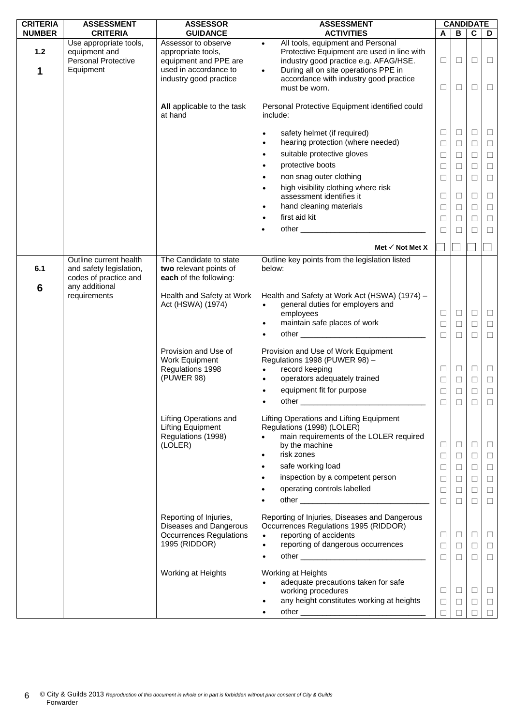| <b>CRITERIA</b>        | <b>ASSESSMENT</b>                                                                  | <b>ASSESSOR</b>                                                                                                       | <b>ASSESSMENT</b>                                                                                                                                                                                                                                     |                            |                            | <b>CANDIDATE</b>           |                            |
|------------------------|------------------------------------------------------------------------------------|-----------------------------------------------------------------------------------------------------------------------|-------------------------------------------------------------------------------------------------------------------------------------------------------------------------------------------------------------------------------------------------------|----------------------------|----------------------------|----------------------------|----------------------------|
| <b>NUMBER</b>          | <b>CRITERIA</b>                                                                    | <b>GUIDANCE</b>                                                                                                       | <b>ACTIVITIES</b>                                                                                                                                                                                                                                     | A                          | B                          | C                          | D                          |
| 1.2<br>1               | Use appropriate tools,<br>equipment and<br><b>Personal Protective</b><br>Equipment | Assessor to observe<br>appropriate tools,<br>equipment and PPE are<br>used in accordance to<br>industry good practice | All tools, equipment and Personal<br>$\bullet$<br>Protective Equipment are used in line with<br>industry good practice e.g. AFAG/HSE.<br>During all on site operations PPE in<br>$\bullet$<br>accordance with industry good practice<br>must be worn. | □<br>□                     | ⊔<br>□                     | □<br>$\Box$                | $\Box$<br>$\Box$           |
|                        |                                                                                    | All applicable to the task<br>at hand                                                                                 | Personal Protective Equipment identified could<br>include:                                                                                                                                                                                            |                            |                            |                            |                            |
|                        |                                                                                    |                                                                                                                       | safety helmet (if required)<br>$\bullet$<br>hearing protection (where needed)<br>$\bullet$                                                                                                                                                            | ⊔<br>$\Box$                | Ш<br>$\Box$                | ⊔<br>$\Box$                | ⊔<br>$\Box$                |
|                        |                                                                                    |                                                                                                                       | suitable protective gloves<br>$\bullet$                                                                                                                                                                                                               | $\Box$                     | □                          | $\Box$                     | $\Box$                     |
|                        |                                                                                    |                                                                                                                       | protective boots<br>$\bullet$                                                                                                                                                                                                                         | $\Box$                     | $\Box$                     | $\Box$                     | $\Box$                     |
|                        |                                                                                    |                                                                                                                       | non snag outer clothing<br>$\bullet$                                                                                                                                                                                                                  | □                          | $\Box$                     | $\Box$                     | $\Box$                     |
|                        |                                                                                    |                                                                                                                       | high visibility clothing where risk<br>$\bullet$<br>assessment identifies it                                                                                                                                                                          | $\Box$                     | Ш                          | □                          | $\Box$                     |
|                        |                                                                                    |                                                                                                                       | hand cleaning materials<br>$\bullet$                                                                                                                                                                                                                  | □                          | $\Box$                     | $\Box$                     | $\Box$                     |
|                        |                                                                                    |                                                                                                                       | first aid kit<br>$\bullet$                                                                                                                                                                                                                            | $\Box$                     | □                          | $\Box$                     | $\Box$                     |
|                        |                                                                                    |                                                                                                                       | $\bullet$                                                                                                                                                                                                                                             | П                          | П                          | П                          | $\Box$                     |
|                        | Outline current health                                                             | The Candidate to state                                                                                                | Met $\checkmark$ Not Met X<br>Outline key points from the legislation listed                                                                                                                                                                          |                            |                            |                            |                            |
| 6.1<br>$6\phantom{1}6$ | and safety legislation,<br>codes of practice and<br>any additional                 | two relevant points of<br>each of the following:                                                                      | below:                                                                                                                                                                                                                                                |                            |                            |                            |                            |
|                        | requirements                                                                       | Health and Safety at Work<br>Act (HSWA) (1974)                                                                        | Health and Safety at Work Act (HSWA) (1974) -<br>general duties for employers and<br>$\bullet$<br>employees                                                                                                                                           | □                          | □                          | $\Box$                     | $\Box$                     |
|                        |                                                                                    |                                                                                                                       | maintain safe places of work<br>$\bullet$                                                                                                                                                                                                             | □                          | П                          | $\Box$                     | $\Box$                     |
|                        |                                                                                    |                                                                                                                       | other and the contract of the contract of the contract of the contract of the contract of the contract of the contract of the contract of the contract of the contract of the contract of the contract of the contract of the<br>$\bullet$            | $\Box$                     | $\Box$                     | $\Box$                     | $\Box$                     |
|                        |                                                                                    | Provision and Use of<br>Work Equipment<br>Regulations 1998<br>(PUWER 98)                                              | Provision and Use of Work Equipment<br>Regulations 1998 (PUWER 98) -<br>record keeping<br>$\bullet$<br>operators adequately trained<br>$\bullet$                                                                                                      | $\Box$<br>$\Box$           | $\Box$<br>$\Box$           | $\Box$<br>$\Box$           | $\Box$<br>$\Box$           |
|                        |                                                                                    |                                                                                                                       | equipment fit for purpose<br>$\bullet$                                                                                                                                                                                                                | ⊔                          | ⊔                          | $\Box$                     | $\Box$                     |
|                        |                                                                                    |                                                                                                                       | other<br>$\bullet$                                                                                                                                                                                                                                    | $\Box$                     | П                          | $\Box$                     | $\Box$                     |
|                        |                                                                                    | <b>Lifting Operations and</b><br><b>Lifting Equipment</b><br>Regulations (1998)<br>(LOLER)                            | Lifting Operations and Lifting Equipment<br>Regulations (1998) (LOLER)<br>main requirements of the LOLER required<br>by the machine<br>risk zones<br>$\bullet$                                                                                        | □<br>$\Box$                | $\Box$<br>$\Box$           | $\Box$<br>$\Box$           | $\Box$<br>$\Box$           |
|                        |                                                                                    |                                                                                                                       | safe working load<br>$\bullet$                                                                                                                                                                                                                        | □                          | $\Box$                     | $\Box$                     | $\Box$                     |
|                        |                                                                                    |                                                                                                                       | inspection by a competent person<br>$\bullet$                                                                                                                                                                                                         | □                          | □                          | $\Box$                     | $\Box$                     |
|                        |                                                                                    |                                                                                                                       | operating controls labelled<br>٠                                                                                                                                                                                                                      | $\Box$                     | $\Box$                     | $\Box$                     | $\Box$                     |
|                        |                                                                                    |                                                                                                                       | $\bullet$                                                                                                                                                                                                                                             | $\Box$                     | $\Box$                     | $\Box$                     | $\Box$                     |
|                        |                                                                                    | Reporting of Injuries,<br>Diseases and Dangerous<br><b>Occurrences Regulations</b><br>1995 (RIDDOR)                   | Reporting of Injuries, Diseases and Dangerous<br>Occurrences Regulations 1995 (RIDDOR)<br>reporting of accidents<br>$\bullet$<br>reporting of dangerous occurrences<br>$\bullet$<br>$\bullet$                                                         | $\Box$<br>$\Box$<br>$\Box$ | $\Box$<br>$\Box$<br>$\Box$ | $\Box$<br>$\Box$<br>$\Box$ | $\Box$<br>$\Box$<br>$\Box$ |
|                        |                                                                                    | Working at Heights                                                                                                    | Working at Heights<br>adequate precautions taken for safe                                                                                                                                                                                             |                            |                            |                            |                            |
|                        |                                                                                    |                                                                                                                       | working procedures                                                                                                                                                                                                                                    | ⊔                          | $\Box$                     | □                          | $\Box$                     |
|                        |                                                                                    |                                                                                                                       | any height constitutes working at heights<br>$\bullet$                                                                                                                                                                                                | $\Box$                     | $\Box$                     | $\Box$                     | $\Box$                     |
|                        |                                                                                    |                                                                                                                       | $\bullet$                                                                                                                                                                                                                                             | $\Box$                     | □                          | $\Box$                     | $\Box$                     |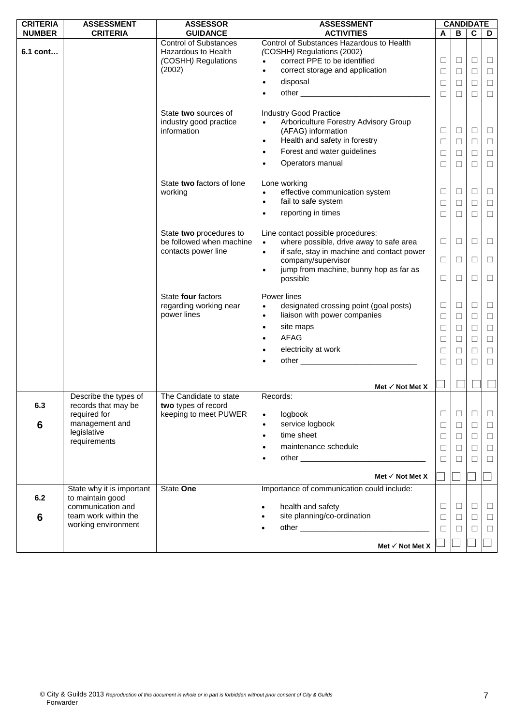| <b>CRITERIA</b>        | <b>ASSESSMENT</b>                                                                                             | <b>ASSESSOR</b>                                                                                                                                       | <b>ASSESSMENT</b>                                                                                                                                                                                                                                                                                                                                                                                                 |                                                     |                                                          | <b>CANDIDATE</b>                                                   |                                                                    |
|------------------------|---------------------------------------------------------------------------------------------------------------|-------------------------------------------------------------------------------------------------------------------------------------------------------|-------------------------------------------------------------------------------------------------------------------------------------------------------------------------------------------------------------------------------------------------------------------------------------------------------------------------------------------------------------------------------------------------------------------|-----------------------------------------------------|----------------------------------------------------------|--------------------------------------------------------------------|--------------------------------------------------------------------|
| <b>NUMBER</b>          | <b>CRITERIA</b>                                                                                               | <b>GUIDANCE</b>                                                                                                                                       | <b>ACTIVITIES</b>                                                                                                                                                                                                                                                                                                                                                                                                 | A                                                   | В                                                        | $\mathbf c$                                                        | D                                                                  |
| 6.1 cont               |                                                                                                               | <b>Control of Substances</b><br>Hazardous to Health<br>(COSHH) Regulations<br>(2002)<br>State two sources of<br>industry good practice<br>information | Control of Substances Hazardous to Health<br>(COSHH) Regulations (2002)<br>correct PPE to be identified<br>$\bullet$<br>correct storage and application<br>$\bullet$<br>disposal<br>$\bullet$<br>$\bullet$<br><b>Industry Good Practice</b><br>Arboriculture Forestry Advisory Group<br>$\bullet$<br>(AFAG) information<br>Health and safety in forestry<br>$\bullet$<br>Forest and water guidelines<br>$\bullet$ | $\Box$<br>$\Box$<br>□<br>$\Box$<br>□<br>□<br>$\Box$ | $\Box$<br>$\Box$<br>⊔<br>$\Box$<br>$\Box$<br>□<br>$\Box$ | $\Box$<br>$\Box$<br>$\Box$<br>$\Box$<br>$\Box$<br>$\Box$<br>$\Box$ | $\Box$<br>$\Box$<br>$\Box$<br>$\Box$<br>$\Box$<br>$\Box$<br>$\Box$ |
|                        |                                                                                                               | State two factors of lone<br>working                                                                                                                  | Operators manual<br>$\bullet$<br>Lone working<br>effective communication system<br>$\bullet$<br>fail to safe system<br>$\bullet$<br>reporting in times<br>$\bullet$                                                                                                                                                                                                                                               | □<br>Ш<br>□<br>Ш                                    | □<br>⊔<br>$\Box$<br>□                                    | $\Box$<br>□<br>$\Box$<br>□                                         | $\Box$<br>Ц<br>$\Box$<br>$\Box$                                    |
|                        |                                                                                                               | State two procedures to<br>be followed when machine<br>contacts power line                                                                            | Line contact possible procedures:<br>where possible, drive away to safe area<br>$\bullet$<br>if safe, stay in machine and contact power<br>$\bullet$<br>company/supervisor<br>jump from machine, bunny hop as far as<br>$\bullet$<br>possible                                                                                                                                                                     | $\Box$<br>$\Box$<br>□                               | □<br>$\Box$<br>□                                         | $\Box$<br>$\Box$<br>□                                              | $\Box$<br>$\Box$<br>$\Box$                                         |
|                        |                                                                                                               | State four factors<br>regarding working near<br>power lines                                                                                           | Power lines<br>designated crossing point (goal posts)<br>$\bullet$<br>liaison with power companies<br>$\bullet$<br>site maps<br>$\bullet$<br><b>AFAG</b><br>$\bullet$<br>electricity at work<br>$\bullet$<br>$\bullet$                                                                                                                                                                                            | Ш<br>$\Box$<br>□<br>$\Box$<br>□<br>□                | ⊔<br>$\Box$<br>□<br>□<br>□<br>□                          | □<br>$\Box$<br>$\Box$<br>$\Box$<br>$\Box$<br>$\Box$                | ⊔<br>$\Box$<br>$\Box$<br>$\Box$<br>$\Box$<br>$\Box$                |
|                        |                                                                                                               |                                                                                                                                                       | Met $\checkmark$ Not Met X                                                                                                                                                                                                                                                                                                                                                                                        |                                                     |                                                          |                                                                    |                                                                    |
| 6.3<br>$6\phantom{1}6$ | Describe the types of<br>records that may be<br>required for<br>management and<br>legislative<br>requirements | The Candidate to state<br>two types of record<br>keeping to meet PUWER                                                                                | Records:<br>logbook<br>$\bullet$<br>service logbook<br>$\bullet$<br>time sheet<br>$\bullet$<br>maintenance schedule<br>$\bullet$<br>$\bullet$<br>Met $\checkmark$ Not Met X                                                                                                                                                                                                                                       | ⊔<br>$\Box$<br>⊔<br>$\Box$<br>□                     | ⊔<br>$\Box$<br>□<br>□<br>П                               | ⊔<br>$\Box$<br>$\Box$<br>$\Box$<br>□                               | ⊔<br>$\Box$<br>$\Box$<br>$\Box$<br>□                               |
|                        | State why it is important                                                                                     | State One                                                                                                                                             | Importance of communication could include:                                                                                                                                                                                                                                                                                                                                                                        |                                                     |                                                          |                                                                    |                                                                    |
| 6.2<br>6               | to maintain good<br>communication and<br>team work within the<br>working environment                          |                                                                                                                                                       | health and safety<br>$\bullet$<br>site planning/co-ordination<br>$\bullet$<br>$\bullet$<br>Met $\checkmark$ Not Met X                                                                                                                                                                                                                                                                                             | □<br>$\Box$<br>⊔                                    | ⊔<br>$\Box$<br>П                                         | □<br>$\Box$<br>□                                                   | ⊔<br>$\Box$<br>□                                                   |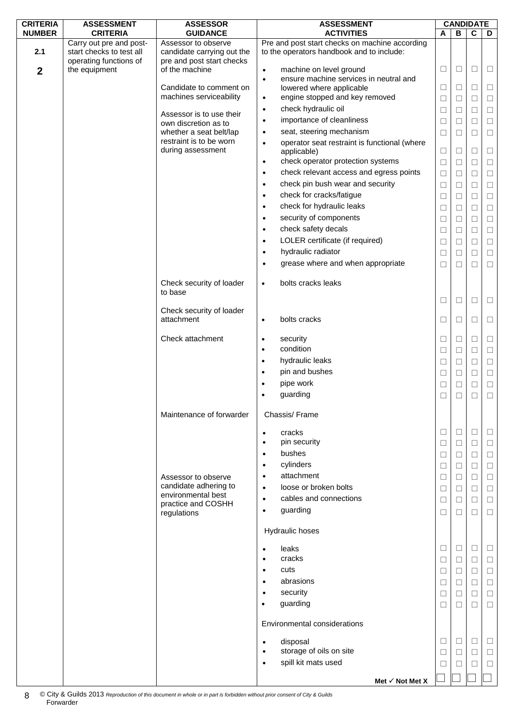| <b>CRITERIA</b>  | <b>ASSESSMENT</b>                                   | <b>ASSESSOR</b>                                   | <b>ASSESSMENT</b>                                                                           |        |        | <b>CANDIDATE</b> |        |
|------------------|-----------------------------------------------------|---------------------------------------------------|---------------------------------------------------------------------------------------------|--------|--------|------------------|--------|
| <b>NUMBER</b>    | <b>CRITERIA</b>                                     | <b>GUIDANCE</b>                                   | <b>ACTIVITIES</b>                                                                           | A      | В      | $\mathbf c$      | D      |
| 2.1              | Carry out pre and post-<br>start checks to test all | Assessor to observe<br>candidate carrying out the | Pre and post start checks on machine according<br>to the operators handbook and to include: |        |        |                  |        |
|                  | operating functions of                              | pre and post start checks                         |                                                                                             |        |        |                  |        |
| $\boldsymbol{2}$ | the equipment                                       | of the machine                                    | machine on level ground<br>$\bullet$                                                        | □      | □      | $\Box$           | $\Box$ |
|                  |                                                     |                                                   | ensure machine services in neutral and<br>$\bullet$                                         |        |        |                  |        |
|                  |                                                     | Candidate to comment on                           | lowered where applicable                                                                    | □      | □      | $\Box$           | $\Box$ |
|                  |                                                     | machines serviceability                           | engine stopped and key removed<br>$\bullet$                                                 | $\Box$ | $\Box$ | $\Box$           | $\Box$ |
|                  |                                                     | Assessor is to use their                          | check hydraulic oil<br>$\bullet$                                                            | □      | □      | $\Box$           | $\Box$ |
|                  |                                                     | own discretion as to                              | importance of cleanliness<br>$\bullet$                                                      | $\Box$ | $\Box$ | $\Box$           | $\Box$ |
|                  |                                                     | whether a seat belt/lap                           | seat, steering mechanism<br>$\bullet$                                                       | $\Box$ | $\Box$ | $\Box$           | $\Box$ |
|                  |                                                     | restraint is to be worn<br>during assessment      | operator seat restraint is functional (where<br>$\bullet$                                   | $\Box$ |        | $\Box$           |        |
|                  |                                                     |                                                   | applicable)<br>check operator protection systems<br>$\bullet$                               |        | $\Box$ | $\Box$           | $\Box$ |
|                  |                                                     |                                                   | check relevant access and egress points<br>$\bullet$                                        | $\Box$ | □      |                  | $\Box$ |
|                  |                                                     |                                                   | check pin bush wear and security                                                            | $\Box$ | $\Box$ | $\Box$           | $\Box$ |
|                  |                                                     |                                                   | $\bullet$                                                                                   | □      | □      | $\Box$           | $\Box$ |
|                  |                                                     |                                                   | check for cracks/fatigue<br>$\bullet$                                                       | $\Box$ | $\Box$ | $\Box$           | $\Box$ |
|                  |                                                     |                                                   | check for hydraulic leaks<br>$\bullet$                                                      | $\Box$ | $\Box$ | $\Box$           | $\Box$ |
|                  |                                                     |                                                   | security of components<br>$\bullet$                                                         | □      | □      | $\Box$           | $\Box$ |
|                  |                                                     |                                                   | check safety decals<br>$\bullet$                                                            | □      | $\Box$ | $\Box$           | $\Box$ |
|                  |                                                     |                                                   | LOLER certificate (if required)<br>$\bullet$                                                | □      | □      | $\Box$           | $\Box$ |
|                  |                                                     |                                                   | hydraulic radiator<br>$\bullet$                                                             | $\Box$ | $\Box$ | $\Box$           | $\Box$ |
|                  |                                                     |                                                   | grease where and when appropriate<br>$\bullet$                                              | □      | $\Box$ | $\Box$           | $\Box$ |
|                  |                                                     | Check security of loader<br>to base               | bolts cracks leaks<br>$\bullet$                                                             |        |        |                  |        |
|                  |                                                     | Check security of loader                          |                                                                                             | ⊔      | ⊔      | $\Box$           | $\Box$ |
|                  |                                                     | attachment                                        | bolts cracks<br>$\bullet$                                                                   | □      | Ш      | $\Box$           | $\Box$ |
|                  |                                                     | Check attachment                                  | security<br>$\bullet$                                                                       | $\Box$ | $\Box$ | $\Box$           | $\Box$ |
|                  |                                                     |                                                   | condition<br>$\bullet$                                                                      | □      | □      | $\Box$           | $\Box$ |
|                  |                                                     |                                                   | hydraulic leaks<br>$\bullet$                                                                | □      | $\Box$ | $\Box$           | $\Box$ |
|                  |                                                     |                                                   | pin and bushes<br>$\bullet$                                                                 | $\Box$ | □      | $\Box$           | $\Box$ |
|                  |                                                     |                                                   | pipe work<br>$\bullet$                                                                      | □      | Ш      | $\Box$           | $\Box$ |
|                  |                                                     |                                                   | guarding<br>$\bullet$                                                                       | □      | $\Box$ | $\Box$           | $\Box$ |
|                  |                                                     | Maintenance of forwarder                          | Chassis/Frame                                                                               |        |        |                  |        |
|                  |                                                     |                                                   | cracks<br>$\bullet$                                                                         | $\Box$ | $\Box$ | $\Box$           | $\Box$ |
|                  |                                                     |                                                   | pin security<br>$\bullet$                                                                   | $\Box$ | $\Box$ | $\Box$           | $\Box$ |
|                  |                                                     |                                                   | bushes<br>$\bullet$                                                                         | ⊔      | Ш      | □                | □      |
|                  |                                                     |                                                   | cylinders<br>$\bullet$                                                                      | □      | □      | $\Box$           | $\Box$ |
|                  |                                                     | Assessor to observe                               | attachment<br>$\bullet$                                                                     | □      | ⊔      | $\Box$           | □      |
|                  |                                                     | candidate adhering to                             | loose or broken bolts<br>$\bullet$                                                          | $\Box$ | $\Box$ | $\Box$           | $\Box$ |
|                  |                                                     | environmental best<br>practice and COSHH          | cables and connections<br>$\bullet$                                                         | □      | □      | $\Box$           | $\Box$ |
|                  |                                                     | regulations                                       | guarding<br>$\bullet$                                                                       | □      | $\Box$ | $\Box$           | $\Box$ |
|                  |                                                     |                                                   | Hydraulic hoses                                                                             |        |        |                  |        |
|                  |                                                     |                                                   | leaks<br>$\bullet$                                                                          | □      | $\Box$ | $\Box$           | $\Box$ |
|                  |                                                     |                                                   | cracks<br>$\bullet$                                                                         | □      | □      | $\Box$           | $\Box$ |
|                  |                                                     |                                                   | cuts<br>$\bullet$                                                                           | □      | ⊔      | □                | □      |
|                  |                                                     |                                                   | abrasions<br>$\bullet$                                                                      | □      | $\Box$ | $\Box$           | $\Box$ |
|                  |                                                     |                                                   | security<br>$\bullet$                                                                       | □      | ⊔      | $\Box$           | $\Box$ |
|                  |                                                     |                                                   | guarding<br>$\bullet$                                                                       | □      | $\Box$ | $\Box$           | $\Box$ |
|                  |                                                     |                                                   | Environmental considerations                                                                |        |        |                  |        |
|                  |                                                     |                                                   | disposal<br>$\bullet$                                                                       | □      | □      | $\Box$           | □      |
|                  |                                                     |                                                   | storage of oils on site<br>$\bullet$                                                        | □      | □      | $\Box$           | $\Box$ |
|                  |                                                     |                                                   | spill kit mats used<br>$\bullet$                                                            | ⊔      |        | □                | $\Box$ |
|                  |                                                     |                                                   |                                                                                             |        |        |                  |        |
|                  |                                                     |                                                   | Met √ Not Met X                                                                             |        |        |                  |        |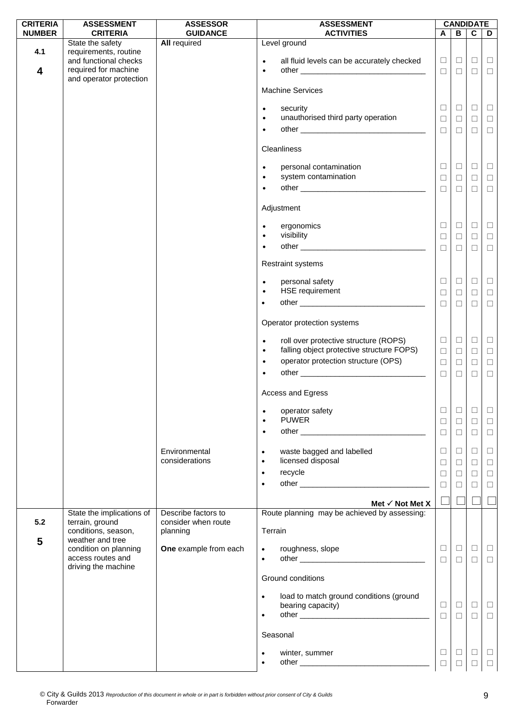| <b>CRITERIA</b>                | <b>ASSESSMENT</b>                                                                          | <b>ASSESSOR</b>                                        | <b>ASSESSMENT</b>                                                                                                                                                             |                                      |                                      | <b>CANDIDATE</b>                     |                                      |
|--------------------------------|--------------------------------------------------------------------------------------------|--------------------------------------------------------|-------------------------------------------------------------------------------------------------------------------------------------------------------------------------------|--------------------------------------|--------------------------------------|--------------------------------------|--------------------------------------|
| <b>NUMBER</b>                  | <b>CRITERIA</b>                                                                            | <b>GUIDANCE</b>                                        | <b>ACTIVITIES</b>                                                                                                                                                             | A                                    | B.                                   | $\mathbf c$                          | D                                    |
| 4.1<br>$\overline{\mathbf{4}}$ | State the safety<br>requirements, routine<br>and functional checks<br>required for machine | <b>All required</b>                                    | Level ground<br>all fluid levels can be accurately checked<br>$\bullet$<br>$\bullet$                                                                                          | $\Box$<br>$\Box$                     | $\Box$<br>$\Box$                     | $\Box$<br>$\Box$                     | $\Box$<br>$\Box$                     |
|                                | and operator protection                                                                    |                                                        | <b>Machine Services</b>                                                                                                                                                       |                                      |                                      |                                      |                                      |
|                                |                                                                                            |                                                        | security<br>$\bullet$<br>unauthorised third party operation<br>$\bullet$<br>$\bullet$                                                                                         | $\Box$<br>$\Box$<br>$\Box$           | $\Box$<br>$\Box$<br>$\Box$           | $\Box$<br>$\Box$<br>$\Box$           | $\Box$<br>$\Box$<br>$\Box$           |
|                                |                                                                                            |                                                        | Cleanliness                                                                                                                                                                   |                                      |                                      |                                      |                                      |
|                                |                                                                                            |                                                        | personal contamination<br>$\bullet$<br>system contamination<br>$\bullet$<br>$\bullet$                                                                                         | $\Box$<br>$\Box$<br>$\Box$           | $\Box$<br>$\Box$<br>□                | $\Box$<br>$\Box$<br>$\Box$           | $\Box$<br>$\Box$<br>$\Box$           |
|                                |                                                                                            |                                                        | Adjustment                                                                                                                                                                    |                                      |                                      |                                      |                                      |
|                                |                                                                                            |                                                        | ergonomics<br>$\bullet$<br>visibility<br>$\bullet$                                                                                                                            | ⊔<br>$\Box$                          | ⊔<br>$\Box$                          | $\Box$<br>$\Box$                     | $\Box$<br>$\Box$                     |
|                                |                                                                                            |                                                        | $\bullet$<br>Restraint systems                                                                                                                                                | $\Box$                               | $\Box$                               | $\Box$                               | $\Box$                               |
|                                |                                                                                            |                                                        | personal safety<br>$\bullet$                                                                                                                                                  | $\Box$                               | □                                    | $\Box$                               | $\Box$                               |
|                                |                                                                                            |                                                        | HSE requirement<br>$\bullet$                                                                                                                                                  | $\Box$<br>$\Box$                     | □<br>$\Box$                          | $\Box$<br>$\Box$                     | $\Box$<br>$\Box$                     |
|                                |                                                                                            |                                                        | Operator protection systems                                                                                                                                                   |                                      |                                      |                                      |                                      |
|                                |                                                                                            |                                                        | roll over protective structure (ROPS)<br>$\bullet$<br>falling object protective structure FOPS)<br>$\bullet$<br>operator protection structure (OPS)<br>$\bullet$<br>$\bullet$ | $\Box$<br>$\Box$<br>$\Box$<br>$\Box$ | $\Box$<br>$\Box$<br>$\Box$<br>$\Box$ | $\Box$<br>$\Box$<br>$\Box$<br>$\Box$ | $\Box$<br>$\Box$<br>$\Box$<br>$\Box$ |
|                                |                                                                                            |                                                        | Access and Egress                                                                                                                                                             |                                      |                                      |                                      |                                      |
|                                |                                                                                            |                                                        | operator safety<br>$\bullet$<br><b>PUWER</b><br>$\bullet$<br>$\bullet$                                                                                                        | □<br>□<br>$\Box$                     | $\Box$<br>$\Box$<br>$\Box$           | $\Box$<br>$\Box$<br>$\Box$           | $\Box$<br>$\Box$<br>$\Box$           |
|                                |                                                                                            | Environmental<br>considerations                        | waste bagged and labelled<br>$\bullet$<br>licensed disposal<br>$\bullet$                                                                                                      | $\Box$<br>$\Box$                     | $\Box$<br>$\Box$                     | $\Box$<br>$\Box$                     | $\Box$<br>$\Box$                     |
|                                |                                                                                            |                                                        | recycle<br>$\bullet$<br>٠                                                                                                                                                     | $\Box$<br>$\Box$                     | □<br>$\Box$                          | $\Box$<br>$\Box$                     | $\Box$<br>$\Box$                     |
|                                |                                                                                            |                                                        | Met $\checkmark$ Not Met X                                                                                                                                                    |                                      |                                      |                                      |                                      |
| 5.2<br>5                       | State the implications of<br>terrain, ground<br>conditions, season,<br>weather and tree    | Describe factors to<br>consider when route<br>planning | Route planning may be achieved by assessing:<br>Terrain                                                                                                                       |                                      |                                      |                                      |                                      |
|                                | condition on planning<br>access routes and<br>driving the machine                          | One example from each                                  | roughness, slope<br>$\bullet$<br>$\bullet$                                                                                                                                    | $\Box$<br>$\Box$                     | □<br>$\Box$                          | $\Box$<br>$\Box$                     | $\Box$<br>$\Box$                     |
|                                |                                                                                            |                                                        | Ground conditions                                                                                                                                                             |                                      |                                      |                                      |                                      |
|                                |                                                                                            |                                                        | load to match ground conditions (ground<br>$\bullet$<br>bearing capacity)<br>$\bullet$                                                                                        | $\Box$<br>$\Box$                     | $\Box$<br>$\Box$                     | $\Box$<br>$\Box$                     | $\Box$<br>$\Box$                     |
|                                |                                                                                            |                                                        | Seasonal                                                                                                                                                                      |                                      |                                      |                                      |                                      |
|                                |                                                                                            |                                                        | winter, summer<br>$\bullet$<br>$\bullet$                                                                                                                                      | $\Box$<br>П                          | ப                                    | $\Box$<br>$\Box$                     | □<br>$\Box$                          |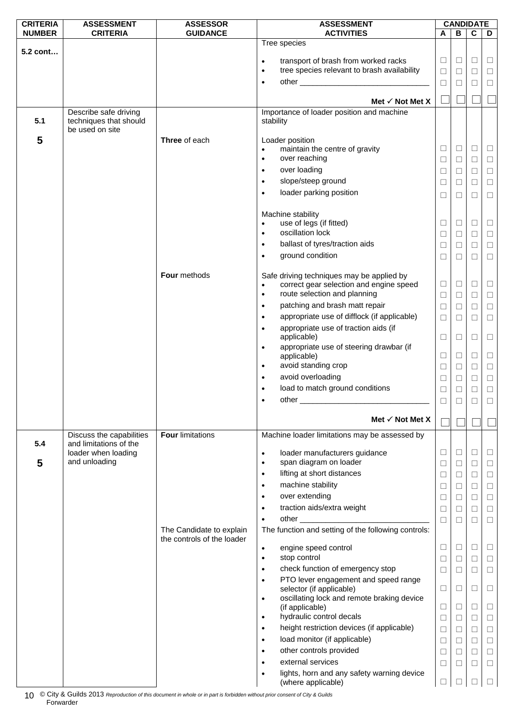| <b>CRITERIA</b> | <b>ASSESSMENT</b>                                                  | <b>ASSESSOR</b>                                        | <b>ASSESSMENT</b>                                                                                 |        | <b>CANDIDATE</b> |        |        |
|-----------------|--------------------------------------------------------------------|--------------------------------------------------------|---------------------------------------------------------------------------------------------------|--------|------------------|--------|--------|
| <b>NUMBER</b>   | <b>CRITERIA</b>                                                    | <b>GUIDANCE</b>                                        | <b>ACTIVITIES</b>                                                                                 | A      | В                | C      | D      |
| 5.2 cont        |                                                                    |                                                        | Tree species                                                                                      |        |                  |        |        |
|                 |                                                                    |                                                        | transport of brash from worked racks<br>$\bullet$                                                 | □      | $\Box$           | $\Box$ | $\Box$ |
|                 |                                                                    |                                                        | tree species relevant to brash availability<br>$\bullet$                                          | □      | □                | □      | $\Box$ |
|                 |                                                                    |                                                        | $\bullet$                                                                                         | $\Box$ | □                | $\Box$ | $\Box$ |
|                 |                                                                    |                                                        |                                                                                                   |        |                  |        |        |
|                 |                                                                    |                                                        | Met $\checkmark$ Not Met X                                                                        |        |                  |        |        |
| 5.1             | Describe safe driving<br>techniques that should<br>be used on site |                                                        | Importance of loader position and machine<br>stability                                            |        |                  |        |        |
| 5               |                                                                    | Three of each                                          | Loader position                                                                                   |        |                  |        |        |
|                 |                                                                    |                                                        | maintain the centre of gravity<br>$\bullet$                                                       | ⊔      | □                | □      | ш      |
|                 |                                                                    |                                                        | over reaching<br>$\bullet$                                                                        | $\Box$ | $\Box$           | $\Box$ | $\Box$ |
|                 |                                                                    |                                                        | over loading<br>$\bullet$                                                                         | $\Box$ | □                | $\Box$ | $\Box$ |
|                 |                                                                    |                                                        | slope/steep ground<br>$\bullet$                                                                   | □      | ⊔                | $\Box$ | $\Box$ |
|                 |                                                                    |                                                        | loader parking position<br>$\bullet$                                                              | □      | П                | □      | $\Box$ |
|                 |                                                                    |                                                        |                                                                                                   |        |                  |        |        |
|                 |                                                                    |                                                        | Machine stability                                                                                 |        |                  |        |        |
|                 |                                                                    |                                                        | use of legs (if fitted)<br>$\bullet$                                                              | $\Box$ | □                | □      | ш      |
|                 |                                                                    |                                                        | oscillation lock<br>$\bullet$                                                                     | □      | ⊔                | $\Box$ | $\Box$ |
|                 |                                                                    |                                                        | ballast of tyres/traction aids<br>$\bullet$                                                       | $\Box$ | $\Box$           | $\Box$ | $\Box$ |
|                 |                                                                    |                                                        | ground condition<br>$\bullet$                                                                     | $\Box$ | $\Box$           | $\Box$ | $\Box$ |
|                 |                                                                    | Four methods                                           | Safe driving techniques may be applied by<br>correct gear selection and engine speed<br>$\bullet$ | $\Box$ | $\Box$           | □      | $\Box$ |
|                 |                                                                    |                                                        | route selection and planning<br>$\bullet$                                                         | $\Box$ | $\Box$           | $\Box$ | $\Box$ |
|                 |                                                                    |                                                        | patching and brash matt repair<br>$\bullet$                                                       | $\Box$ | □                | $\Box$ | $\Box$ |
|                 |                                                                    |                                                        | appropriate use of difflock (if applicable)<br>$\bullet$                                          | $\Box$ | $\Box$           | $\Box$ | $\Box$ |
|                 |                                                                    |                                                        | appropriate use of traction aids (if<br>$\bullet$                                                 |        |                  |        |        |
|                 |                                                                    |                                                        | applicable)                                                                                       | □      | ⊔                | □      | $\Box$ |
|                 |                                                                    |                                                        | appropriate use of steering drawbar (if<br>$\bullet$                                              |        |                  |        |        |
|                 |                                                                    |                                                        | applicable)<br>avoid standing crop<br>$\bullet$                                                   | Ш      | ⊔                | □      | $\Box$ |
|                 |                                                                    |                                                        | avoid overloading<br>$\bullet$                                                                    | $\Box$ | $\Box$           | $\Box$ | $\Box$ |
|                 |                                                                    |                                                        | load to match ground conditions<br>$\bullet$                                                      | $\Box$ | $\Box$           | $\Box$ | $\Box$ |
|                 |                                                                    |                                                        | $\bullet$                                                                                         | □      | □                | $\Box$ | $\Box$ |
|                 |                                                                    |                                                        |                                                                                                   | $\Box$ | □                | $\Box$ | $\Box$ |
|                 |                                                                    |                                                        | Met $\checkmark$ Not Met X                                                                        |        |                  |        |        |
| 5.4             | Discuss the capabilities<br>and limitations of the                 | <b>Four limitations</b>                                | Machine loader limitations may be assessed by                                                     |        |                  |        |        |
|                 | loader when loading                                                |                                                        | loader manufacturers guidance<br>$\bullet$                                                        | $\Box$ | $\Box$           | □      | □      |
| 5               | and unloading                                                      |                                                        | span diagram on loader<br>$\bullet$                                                               | □      | $\Box$           | $\Box$ | $\Box$ |
|                 |                                                                    |                                                        | lifting at short distances<br>$\bullet$                                                           | ⊔      | □                | □      | $\Box$ |
|                 |                                                                    |                                                        | machine stability<br>$\bullet$                                                                    | □      | $\Box$           | $\Box$ | $\Box$ |
|                 |                                                                    |                                                        | over extending<br>$\bullet$                                                                       | □      | □                | $\Box$ | □      |
|                 |                                                                    |                                                        | traction aids/extra weight<br>$\bullet$                                                           | $\Box$ | $\Box$           | $\Box$ | $\Box$ |
|                 |                                                                    |                                                        | $\bullet$                                                                                         | □      | $\Box$           | $\Box$ | $\Box$ |
|                 |                                                                    | The Candidate to explain<br>the controls of the loader | The function and setting of the following controls:                                               |        |                  |        |        |
|                 |                                                                    |                                                        | engine speed control<br>$\bullet$                                                                 | Ш      | ⊔                | ⊔      | ⊔      |
|                 |                                                                    |                                                        | stop control<br>$\bullet$                                                                         | □      | $\Box$           | $\Box$ | $\Box$ |
|                 |                                                                    |                                                        | check function of emergency stop<br>$\bullet$                                                     | □      | $\Box$           | $\Box$ | $\Box$ |
|                 |                                                                    |                                                        | PTO lever engagement and speed range<br>$\bullet$<br>selector (if applicable)                     | Ш      | ⊔                | □      | □      |
|                 |                                                                    |                                                        | oscillating lock and remote braking device<br>$\bullet$                                           |        |                  |        |        |
|                 |                                                                    |                                                        | (if applicable)                                                                                   | Ш      | ⊔                | □      | ⊔      |
|                 |                                                                    |                                                        | hydraulic control decals<br>$\bullet$                                                             | $\Box$ | $\Box$           | $\Box$ | $\Box$ |
|                 |                                                                    |                                                        | height restriction devices (if applicable)<br>$\bullet$                                           | □      | $\Box$           | $\Box$ | $\Box$ |
|                 |                                                                    |                                                        | load monitor (if applicable)<br>$\bullet$                                                         | $\Box$ | $\Box$           | $\Box$ | $\Box$ |
|                 |                                                                    |                                                        | other controls provided<br>$\bullet$                                                              | □      | $\Box$           | $\Box$ | □      |
|                 |                                                                    |                                                        | external services<br>$\bullet$                                                                    | □      | □                | $\Box$ | $\Box$ |
|                 |                                                                    |                                                        | lights, horn and any safety warning device                                                        |        |                  |        |        |
|                 |                                                                    |                                                        | (where applicable)                                                                                | □      |                  | $\Box$ | □      |

© City & Guilds 2013 *Reproduction of this document in whole or in part is forbidden without prior consent of City & Guilds*  Forwarder 10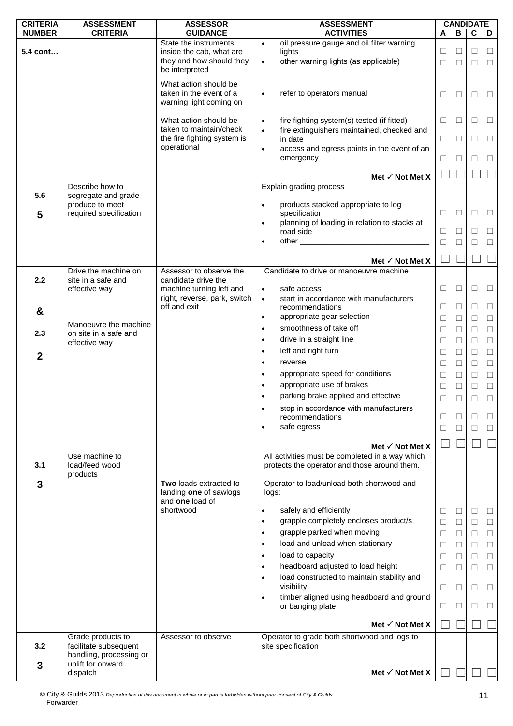| <b>CRITERIA</b>  | <b>ASSESSMENT</b>                              | <b>ASSESSOR</b>                                   | <b>ASSESSMENT</b>                                                          |        |        | <b>CANDIDATE</b> |        |
|------------------|------------------------------------------------|---------------------------------------------------|----------------------------------------------------------------------------|--------|--------|------------------|--------|
| <b>NUMBER</b>    | <b>CRITERIA</b>                                | <b>GUIDANCE</b>                                   | <b>ACTIVITIES</b>                                                          | A      | B      | $\mathbf c$      | D      |
| 5.4 cont…        |                                                | State the instruments<br>inside the cab, what are | oil pressure gauge and oil filter warning<br>$\bullet$<br>lights           | $\Box$ | □      | $\Box$           | $\Box$ |
|                  |                                                | they and how should they                          | other warning lights (as applicable)<br>$\bullet$                          | $\Box$ | □      | $\Box$           | $\Box$ |
|                  |                                                | be interpreted                                    |                                                                            |        |        |                  |        |
|                  |                                                | What action should be                             |                                                                            |        |        |                  |        |
|                  |                                                | taken in the event of a                           | refer to operators manual<br>$\bullet$                                     |        |        |                  |        |
|                  |                                                | warning light coming on                           |                                                                            | ⊔      | $\Box$ | □                | □      |
|                  |                                                |                                                   |                                                                            |        |        |                  |        |
|                  |                                                | What action should be                             | fire fighting system(s) tested (if fitted)<br>$\bullet$                    | $\Box$ | П      | $\Box$           | $\Box$ |
|                  |                                                | taken to maintain/check                           | fire extinguishers maintained, checked and<br>$\bullet$                    |        |        |                  |        |
|                  |                                                | the fire fighting system is                       | in date                                                                    | ⊔      | ⊔      | □                | ⊔      |
|                  |                                                | operational                                       | access and egress points in the event of an<br>$\bullet$                   |        |        |                  |        |
|                  |                                                |                                                   | emergency                                                                  | □      | □      | □                | $\Box$ |
|                  |                                                |                                                   | Met $\checkmark$ Not Met X                                                 |        |        |                  |        |
|                  | Describe how to                                |                                                   | Explain grading process                                                    |        |        |                  |        |
| 5.6              | segregate and grade                            |                                                   |                                                                            |        |        |                  |        |
|                  | produce to meet                                |                                                   | products stacked appropriate to log<br>$\bullet$                           |        |        |                  |        |
| 5                | required specification                         |                                                   | specification                                                              | $\Box$ | □      | $\Box$           | $\Box$ |
|                  |                                                |                                                   | planning of loading in relation to stacks at<br>$\bullet$                  |        |        |                  |        |
|                  |                                                |                                                   | road side                                                                  | □      | □      | □                | $\Box$ |
|                  |                                                |                                                   |                                                                            | $\Box$ | П      | $\Box$           | $\Box$ |
|                  |                                                |                                                   | Met $\checkmark$ Not Met X                                                 |        |        |                  |        |
|                  | Drive the machine on                           | Assessor to observe the                           | Candidate to drive or manoeuvre machine                                    |        |        |                  |        |
| 2.2              | site in a safe and                             | candidate drive the                               |                                                                            |        |        |                  |        |
|                  | effective way                                  | machine turning left and                          | safe access<br>$\bullet$                                                   | □      | □      | □                | $\Box$ |
|                  |                                                | right, reverse, park, switch                      | start in accordance with manufacturers<br>$\bullet$                        |        |        |                  |        |
| &                |                                                | off and exit                                      | recommendations                                                            | □      | ⊔      | □                | $\Box$ |
|                  |                                                |                                                   | appropriate gear selection<br>$\bullet$                                    | $\Box$ | $\Box$ | $\Box$           | $\Box$ |
| 2.3              | Manoeuvre the machine<br>on site in a safe and |                                                   | smoothness of take off<br>$\bullet$                                        | $\Box$ | □      | □                | $\Box$ |
|                  | effective way                                  |                                                   | drive in a straight line<br>$\bullet$                                      | $\Box$ | $\Box$ | $\Box$           | $\Box$ |
|                  |                                                |                                                   | left and right turn<br>$\bullet$                                           | $\Box$ | □      | □                | $\Box$ |
| $\boldsymbol{2}$ |                                                |                                                   | reverse<br>$\bullet$                                                       | □      | □      | $\Box$           | $\Box$ |
|                  |                                                |                                                   | appropriate speed for conditions<br>$\bullet$                              | $\Box$ | $\Box$ | $\Box$           | $\Box$ |
|                  |                                                |                                                   | appropriate use of brakes<br>$\bullet$                                     | $\Box$ | $\Box$ | $\Box$           | $\Box$ |
|                  |                                                |                                                   | parking brake applied and effective                                        |        |        |                  |        |
|                  |                                                |                                                   |                                                                            | $\Box$ | $\Box$ | $\Box$           | $\Box$ |
|                  |                                                |                                                   | stop in accordance with manufacturers<br>$\bullet$<br>recommendations      | ⊔      | ⊔      | □                | □      |
|                  |                                                |                                                   | safe egress<br>$\bullet$                                                   | ⊔      | □      | □                | □      |
|                  |                                                |                                                   |                                                                            |        |        |                  |        |
|                  |                                                |                                                   | Met $\checkmark$ Not Met X                                                 |        |        |                  |        |
|                  | Use machine to                                 |                                                   | All activities must be completed in a way which                            |        |        |                  |        |
| 3.1              | load/feed wood                                 |                                                   | protects the operator and those around them.                               |        |        |                  |        |
|                  | products                                       |                                                   |                                                                            |        |        |                  |        |
| 3                |                                                | Two loads extracted to<br>landing one of sawlogs  | Operator to load/unload both shortwood and                                 |        |        |                  |        |
|                  |                                                | and one load of                                   | logs:                                                                      |        |        |                  |        |
|                  |                                                | shortwood                                         | safely and efficiently<br>٠                                                | ⊔      | □      | □                | □      |
|                  |                                                |                                                   | grapple completely encloses product/s<br>$\bullet$                         | $\Box$ | □      | □                | $\Box$ |
|                  |                                                |                                                   | grapple parked when moving<br>$\bullet$                                    | $\Box$ | □      | □                | $\Box$ |
|                  |                                                |                                                   | load and unload when stationary<br>$\bullet$                               |        |        | $\Box$           |        |
|                  |                                                |                                                   | load to capacity                                                           | Ш      | □      |                  | $\Box$ |
|                  |                                                |                                                   | $\bullet$                                                                  | $\Box$ | $\Box$ | $\Box$           | $\Box$ |
|                  |                                                |                                                   | headboard adjusted to load height<br>$\bullet$                             | □      | □      | □                | $\Box$ |
|                  |                                                |                                                   | load constructed to maintain stability and<br>$\bullet$<br>visibility      |        |        |                  |        |
|                  |                                                |                                                   |                                                                            | □      | □      | □                | □      |
|                  |                                                |                                                   | timber aligned using headboard and ground<br>$\bullet$<br>or banging plate | $\Box$ | П      | □                | □      |
|                  |                                                |                                                   |                                                                            |        |        |                  |        |
|                  |                                                |                                                   | Met $\checkmark$ Not Met X                                                 |        |        |                  |        |
|                  | Grade products to                              | Assessor to observe                               | Operator to grade both shortwood and logs to                               |        |        |                  |        |
| 3.2              | facilitate subsequent                          |                                                   | site specification                                                         |        |        |                  |        |
|                  | handling, processing or                        |                                                   |                                                                            |        |        |                  |        |
| 3                | uplift for onward                              |                                                   |                                                                            |        |        |                  |        |
|                  | dispatch                                       |                                                   | Met $\checkmark$ Not Met X                                                 |        |        |                  |        |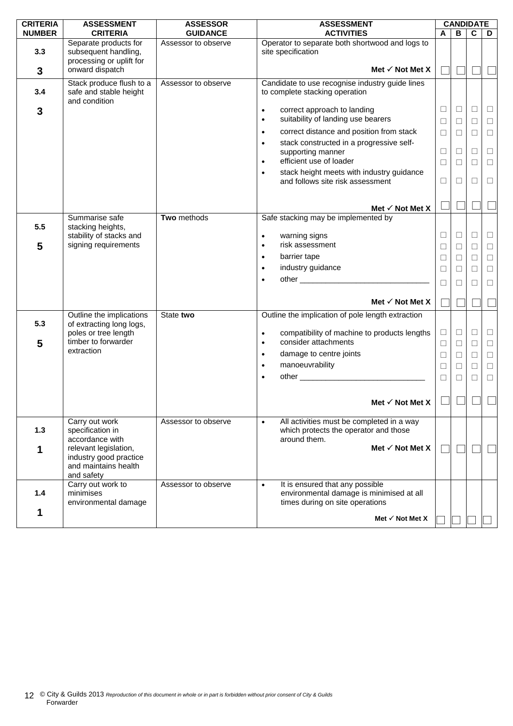| <b>CRITERIA</b> | <b>ASSESSMENT</b>                                                                     | <b>ASSESSOR</b>     | <b>ASSESSMENT</b>                                                                                                           |                  |                  | <b>CANDIDATE</b> |                  |
|-----------------|---------------------------------------------------------------------------------------|---------------------|-----------------------------------------------------------------------------------------------------------------------------|------------------|------------------|------------------|------------------|
| <b>NUMBER</b>   | <b>CRITERIA</b>                                                                       | <b>GUIDANCE</b>     | <b>ACTIVITIES</b>                                                                                                           | A                | в                | C                | D                |
| 3.3             | Separate products for<br>subsequent handling,<br>processing or uplift for             | Assessor to observe | Operator to separate both shortwood and logs to<br>site specification                                                       |                  |                  |                  |                  |
| 3               | onward dispatch                                                                       |                     | Met $\checkmark$ Not Met X                                                                                                  |                  |                  |                  |                  |
| 3.4             | Stack produce flush to a<br>safe and stable height<br>and condition                   | Assessor to observe | Candidate to use recognise industry guide lines<br>to complete stacking operation                                           |                  |                  |                  |                  |
| 3               |                                                                                       |                     | correct approach to landing<br>$\bullet$<br>suitability of landing use bearers<br>$\bullet$                                 | $\Box$<br>□      | $\Box$<br>□      | □<br>□           | $\Box$<br>$\Box$ |
|                 |                                                                                       |                     | correct distance and position from stack<br>$\bullet$                                                                       | $\Box$           | $\Box$           | $\Box$           | $\Box$           |
|                 |                                                                                       |                     | stack constructed in a progressive self-<br>$\bullet$<br>supporting manner<br>efficient use of loader<br>$\bullet$          | $\Box$<br>$\Box$ | $\Box$<br>$\Box$ | $\Box$<br>$\Box$ | $\Box$<br>$\Box$ |
|                 |                                                                                       |                     | stack height meets with industry guidance<br>$\bullet$<br>and follows site risk assessment                                  | □                | $\Box$           | П                | $\Box$           |
|                 |                                                                                       |                     | Met $\checkmark$ Not Met X                                                                                                  |                  |                  |                  |                  |
| 5.5             | Summarise safe<br>stacking heights,                                                   | Two methods         | Safe stacking may be implemented by                                                                                         |                  |                  |                  |                  |
|                 | stability of stacks and                                                               |                     | warning signs<br>$\bullet$                                                                                                  | □                | □                | □                | $\Box$           |
| 5               | signing requirements                                                                  |                     | risk assessment<br>$\bullet$                                                                                                | $\Box$           | $\Box$           | $\Box$           | $\Box$           |
|                 |                                                                                       |                     | barrier tape<br>$\bullet$                                                                                                   | □                | $\Box$           | $\Box$           | $\Box$           |
|                 |                                                                                       |                     | industry guidance<br>$\bullet$                                                                                              | □                | □                | $\Box$           | $\Box$           |
|                 |                                                                                       |                     | $\bullet$                                                                                                                   | П                | □                | □                | $\Box$           |
|                 |                                                                                       |                     | Met $\checkmark$ Not Met X                                                                                                  |                  |                  |                  |                  |
| 5.3             | Outline the implications<br>of extracting long logs,                                  | State two           | Outline the implication of pole length extraction                                                                           |                  |                  |                  |                  |
| 5               | poles or tree length<br>timber to forwarder                                           |                     | compatibility of machine to products lengths<br>$\bullet$<br>consider attachments<br>$\bullet$                              | $\Box$<br>□      | $\Box$<br>$\Box$ | $\Box$<br>П      | $\Box$<br>$\Box$ |
|                 | extraction                                                                            |                     | damage to centre joints<br>$\bullet$                                                                                        | $\Box$           | $\Box$           | $\Box$           | $\Box$           |
|                 |                                                                                       |                     | manoeuvrability<br>$\bullet$                                                                                                | $\Box$           | $\Box$           | $\Box$           | $\Box$           |
|                 |                                                                                       |                     | $\bullet$                                                                                                                   | $\Box$           | $\Box$           | $\Box$           | $\Box$           |
|                 |                                                                                       |                     |                                                                                                                             |                  |                  |                  |                  |
|                 |                                                                                       |                     | Met $\checkmark$ Not Met X                                                                                                  |                  |                  |                  |                  |
| 1.3             | Carry out work<br>specification in<br>accordance with                                 | Assessor to observe | All activities must be completed in a way<br>$\bullet$<br>which protects the operator and those<br>around them.             |                  |                  |                  |                  |
| 1               | relevant legislation,<br>industry good practice<br>and maintains health<br>and safety |                     | Met √ Not Met X                                                                                                             |                  |                  |                  |                  |
| 1.4             | Carry out work to<br>minimises<br>environmental damage                                | Assessor to observe | It is ensured that any possible<br>$\bullet$<br>environmental damage is minimised at all<br>times during on site operations |                  |                  |                  |                  |
| 1               |                                                                                       |                     | Met $\checkmark$ Not Met X                                                                                                  |                  |                  |                  |                  |